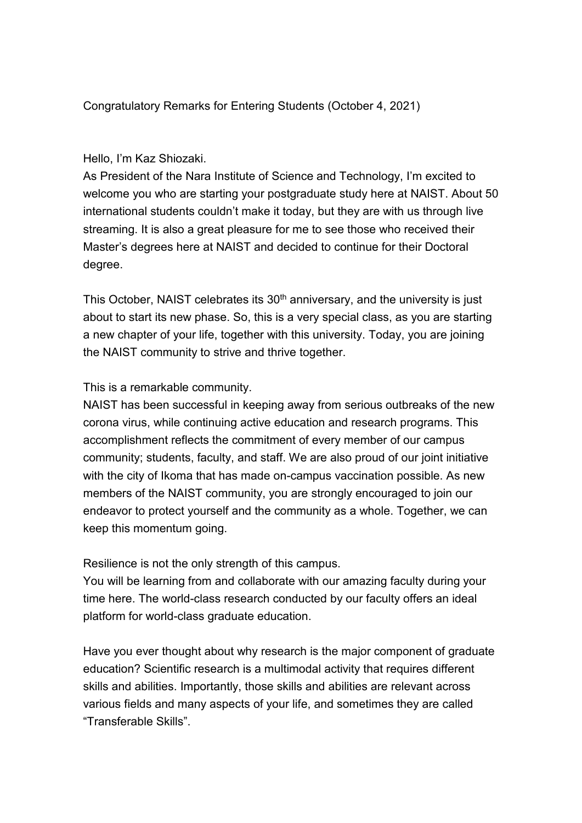Congratulatory Remarks for Entering Students (October 4, 2021)

## Hello, I'm Kaz Shiozaki.

As President of the Nara Institute of Science and Technology, I'm excited to welcome you who are starting your postgraduate study here at NAIST. About 50 international students couldn't make it today, but they are with us through live streaming. It is also a great pleasure for me to see those who received their Master's degrees here at NAIST and decided to continue for their Doctoral degree.

This October, NAIST celebrates its  $30<sup>th</sup>$  anniversary, and the university is just about to start its new phase. So, this is a very special class, as you are starting a new chapter of your life, together with this university. Today, you are joining the NAIST community to strive and thrive together.

This is a remarkable community.

NAIST has been successful in keeping away from serious outbreaks of the new corona virus, while continuing active education and research programs. This accomplishment reflects the commitment of every member of our campus community; students, faculty, and staff. We are also proud of our joint initiative with the city of Ikoma that has made on-campus vaccination possible. As new members of the NAIST community, you are strongly encouraged to join our endeavor to protect yourself and the community as a whole. Together, we can keep this momentum going.

Resilience is not the only strength of this campus.

You will be learning from and collaborate with our amazing faculty during your time here. The world-class research conducted by our faculty offers an ideal platform for world-class graduate education.

Have you ever thought about why research is the major component of graduate education? Scientific research is a multimodal activity that requires different skills and abilities. Importantly, those skills and abilities are relevant across various fields and many aspects of your life, and sometimes they are called "Transferable Skills".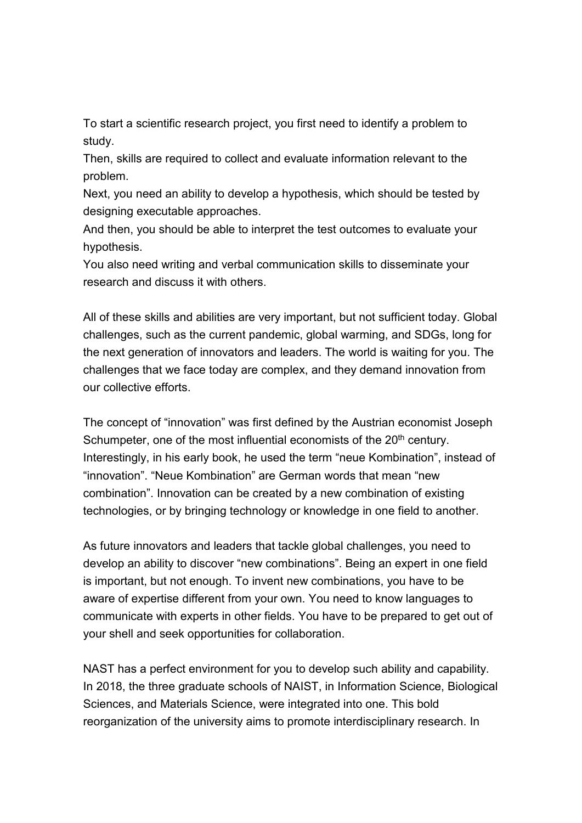To start a scientific research project, you first need to identify a problem to study.

Then, skills are required to collect and evaluate information relevant to the problem.

Next, you need an ability to develop a hypothesis, which should be tested by designing executable approaches.

And then, you should be able to interpret the test outcomes to evaluate your hypothesis.

You also need writing and verbal communication skills to disseminate your research and discuss it with others.

All of these skills and abilities are very important, but not sufficient today. Global challenges, such as the current pandemic, global warming, and SDGs, long for the next generation of innovators and leaders. The world is waiting for you. The challenges that we face today are complex, and they demand innovation from our collective efforts.

The concept of "innovation" was first defined by the Austrian economist Joseph Schumpeter, one of the most influential economists of the 20<sup>th</sup> century. Interestingly, in his early book, he used the term "neue Kombination", instead of "innovation". "Neue Kombination" are German words that mean "new combination". Innovation can be created by a new combination of existing technologies, or by bringing technology or knowledge in one field to another.

As future innovators and leaders that tackle global challenges, you need to develop an ability to discover "new combinations". Being an expert in one field is important, but not enough. To invent new combinations, you have to be aware of expertise different from your own. You need to know languages to communicate with experts in other fields. You have to be prepared to get out of your shell and seek opportunities for collaboration.

NAST has a perfect environment for you to develop such ability and capability. In 2018, the three graduate schools of NAIST, in Information Science, Biological Sciences, and Materials Science, were integrated into one. This bold reorganization of the university aims to promote interdisciplinary research. In